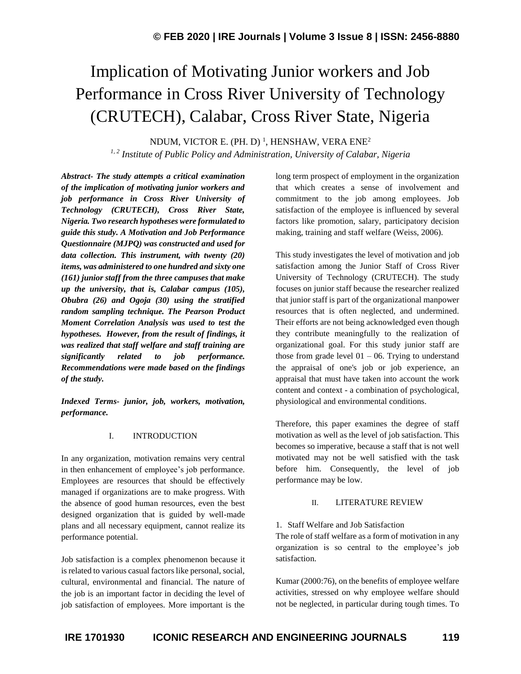# Implication of Motivating Junior workers and Job Performance in Cross River University of Technology (CRUTECH), Calabar, Cross River State, Nigeria

NDUM, VICTOR E. (PH. D)  $^1$ , HENSHAW, VERA ENE $^2$ 

*1, 2 Institute of Public Policy and Administration, University of Calabar, Nigeria*

*Abstract- The study attempts a critical examination of the implication of motivating junior workers and job performance in Cross River University of Technology (CRUTECH), Cross River State, Nigeria. Two research hypotheses were formulated to guide this study. A Motivation and Job Performance Questionnaire (MJPQ) was constructed and used for data collection. This instrument, with twenty (20) items, was administered to one hundred and sixty one (161) junior staff from the three campuses that make up the university, that is, Calabar campus (105), Obubra (26) and Ogoja (30) using the stratified random sampling technique. The Pearson Product Moment Correlation Analysis was used to test the hypotheses. However, from the result of findings, it was realized that staff welfare and staff training are significantly related to job performance. Recommendations were made based on the findings of the study.*

*Indexed Terms- junior, job, workers, motivation, performance.*

## I. INTRODUCTION

In any organization, motivation remains very central in then enhancement of employee's job performance. Employees are resources that should be effectively managed if organizations are to make progress. With the absence of good human resources, even the best designed organization that is guided by well-made plans and all necessary equipment, cannot realize its performance potential.

Job satisfaction is a complex phenomenon because it is related to various casual factors like personal, social, cultural, environmental and financial. The nature of the job is an important factor in deciding the level of job satisfaction of employees. More important is the

long term prospect of employment in the organization that which creates a sense of involvement and commitment to the job among employees. Job satisfaction of the employee is influenced by several factors like promotion, salary, participatory decision making, training and staff welfare (Weiss, 2006).

This study investigates the level of motivation and job satisfaction among the Junior Staff of Cross River University of Technology (CRUTECH). The study focuses on junior staff because the researcher realized that junior staff is part of the organizational manpower resources that is often neglected, and undermined. Their efforts are not being acknowledged even though they contribute meaningfully to the realization of organizational goal. For this study junior staff are those from grade level  $01 - 06$ . Trying to understand the appraisal of one's job or job experience, an appraisal that must have taken into account the work content and context - a combination of psychological, physiological and environmental conditions.

Therefore, this paper examines the degree of staff motivation as well as the level of job satisfaction. This becomes so imperative, because a staff that is not well motivated may not be well satisfied with the task before him. Consequently, the level of job performance may be low.

## II. LITERATURE REVIEW

1. Staff Welfare and Job Satisfaction The role of staff welfare as a form of motivation in any organization is so central to the employee's job satisfaction.

Kumar (2000:76), on the benefits of employee welfare activities, stressed on why employee welfare should not be neglected, in particular during tough times. To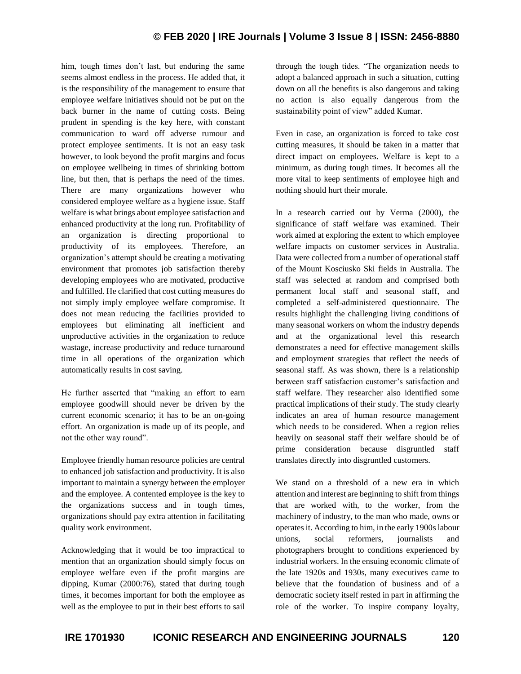# **© FEB 2020 | IRE Journals | Volume 3 Issue 8 | ISSN: 2456-8880**

him, tough times don't last, but enduring the same seems almost endless in the process. He added that, it is the responsibility of the management to ensure that employee welfare initiatives should not be put on the back burner in the name of cutting costs. Being prudent in spending is the key here, with constant communication to ward off adverse rumour and protect employee sentiments. It is not an easy task however, to look beyond the profit margins and focus on employee wellbeing in times of shrinking bottom line, but then, that is perhaps the need of the times. There are many organizations however who considered employee welfare as a hygiene issue. Staff welfare is what brings about employee satisfaction and enhanced productivity at the long run. Profitability of an organization is directing proportional to productivity of its employees. Therefore, an organization's attempt should be creating a motivating environment that promotes job satisfaction thereby developing employees who are motivated, productive and fulfilled. He clarified that cost cutting measures do not simply imply employee welfare compromise. It does not mean reducing the facilities provided to employees but eliminating all inefficient and unproductive activities in the organization to reduce wastage, increase productivity and reduce turnaround time in all operations of the organization which automatically results in cost saving.

He further asserted that "making an effort to earn employee goodwill should never be driven by the current economic scenario; it has to be an on-going effort. An organization is made up of its people, and not the other way round".

Employee friendly human resource policies are central to enhanced job satisfaction and productivity. It is also important to maintain a synergy between the employer and the employee. A contented employee is the key to the organizations success and in tough times, organizations should pay extra attention in facilitating quality work environment.

Acknowledging that it would be too impractical to mention that an organization should simply focus on employee welfare even if the profit margins are dipping, Kumar (2000:76), stated that during tough times, it becomes important for both the employee as well as the employee to put in their best efforts to sail

through the tough tides. "The organization needs to adopt a balanced approach in such a situation, cutting down on all the benefits is also dangerous and taking no action is also equally dangerous from the sustainability point of view" added Kumar.

Even in case, an organization is forced to take cost cutting measures, it should be taken in a matter that direct impact on employees. Welfare is kept to a minimum, as during tough times. It becomes all the more vital to keep sentiments of employee high and nothing should hurt their morale.

In a research carried out by Verma (2000), the significance of staff welfare was examined. Their work aimed at exploring the extent to which employee welfare impacts on customer services in Australia. Data were collected from a number of operational staff of the Mount Kosciusko Ski fields in Australia. The staff was selected at random and comprised both permanent local staff and seasonal staff, and completed a self-administered questionnaire. The results highlight the challenging living conditions of many seasonal workers on whom the industry depends and at the organizational level this research demonstrates a need for effective management skills and employment strategies that reflect the needs of seasonal staff. As was shown, there is a relationship between staff satisfaction customer's satisfaction and staff welfare. They researcher also identified some practical implications of their study. The study clearly indicates an area of human resource management which needs to be considered. When a region relies heavily on seasonal staff their welfare should be of prime consideration because disgruntled staff translates directly into disgruntled customers.

We stand on a threshold of a new era in which attention and interest are beginning to shift from things that are worked with, to the worker, from the machinery of industry, to the man who made, owns or operates it. According to him, in the early 1900s labour unions, social reformers, journalists and photographers brought to conditions experienced by industrial workers. In the ensuing economic climate of the late 1920s and 1930s, many executives came to believe that the foundation of business and of a democratic society itself rested in part in affirming the role of the worker. To inspire company loyalty,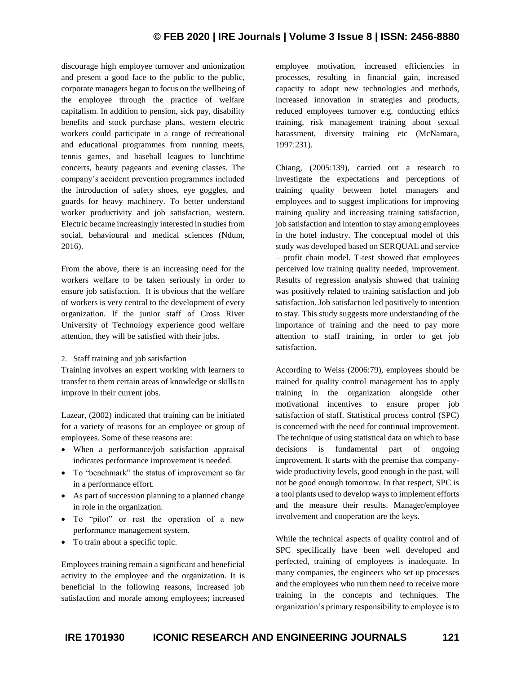# **© FEB 2020 | IRE Journals | Volume 3 Issue 8 | ISSN: 2456-8880**

discourage high employee turnover and unionization and present a good face to the public to the public, corporate managers began to focus on the wellbeing of the employee through the practice of welfare capitalism. In addition to pension, sick pay, disability benefits and stock purchase plans, western electric workers could participate in a range of recreational and educational programmes from running meets, tennis games, and baseball leagues to lunchtime concerts, beauty pageants and evening classes. The company's accident prevention programmes included the introduction of safety shoes, eye goggles, and guards for heavy machinery. To better understand worker productivity and job satisfaction, western. Electric became increasingly interested in studies from social, behavioural and medical sciences (Ndum, 2016).

From the above, there is an increasing need for the workers welfare to be taken seriously in order to ensure job satisfaction. It is obvious that the welfare of workers is very central to the development of every organization. If the junior staff of Cross River University of Technology experience good welfare attention, they will be satisfied with their jobs.

#### 2. Staff training and job satisfaction

Training involves an expert working with learners to transfer to them certain areas of knowledge or skills to improve in their current jobs.

Lazear, (2002) indicated that training can be initiated for a variety of reasons for an employee or group of employees. Some of these reasons are:

- When a performance/job satisfaction appraisal indicates performance improvement is needed.
- To "benchmark" the status of improvement so far in a performance effort.
- As part of succession planning to a planned change in role in the organization.
- To "pilot" or rest the operation of a new performance management system.
- To train about a specific topic.

Employees training remain a significant and beneficial activity to the employee and the organization. It is beneficial in the following reasons, increased job satisfaction and morale among employees; increased employee motivation, increased efficiencies in processes, resulting in financial gain, increased capacity to adopt new technologies and methods, increased innovation in strategies and products, reduced employees turnover e.g. conducting ethics training, risk management training about sexual harassment, diversity training etc (McNamara, 1997:231).

Chiang, (2005:139), carried out a research to investigate the expectations and perceptions of training quality between hotel managers and employees and to suggest implications for improving training quality and increasing training satisfaction, job satisfaction and intention to stay among employees in the hotel industry. The conceptual model of this study was developed based on SERQUAL and service – profit chain model. T-test showed that employees perceived low training quality needed, improvement. Results of regression analysis showed that training was positively related to training satisfaction and job satisfaction. Job satisfaction led positively to intention to stay. This study suggests more understanding of the importance of training and the need to pay more attention to staff training, in order to get job satisfaction.

According to Weiss (2006:79), employees should be trained for quality control management has to apply training in the organization alongside other motivational incentives to ensure proper job satisfaction of staff. Statistical process control (SPC) is concerned with the need for continual improvement. The technique of using statistical data on which to base decisions is fundamental part of ongoing improvement. It starts with the premise that companywide productivity levels, good enough in the past, will not be good enough tomorrow. In that respect, SPC is a tool plants used to develop ways to implement efforts and the measure their results. Manager/employee involvement and cooperation are the keys.

While the technical aspects of quality control and of SPC specifically have been well developed and perfected, training of employees is inadequate. In many companies, the engineers who set up processes and the employees who run them need to receive more training in the concepts and techniques. The organization's primary responsibility to employee is to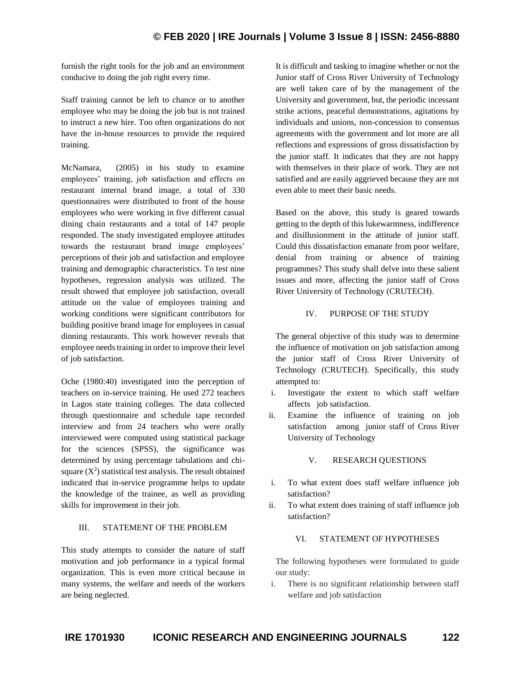furnish the right tools for the job and an environment conducive to doing the job right every time.

Staff training cannot be left to chance or to another employee who may be doing the job but is not trained to instruct a new hire. Too often organizations do not have the in-house resources to provide the required training.

McNamara, (2005) in his study to examine employees' training, job satisfaction and effects on restaurant internal brand image, a total of 330 questionnaires were distributed to front of the house employees who were working in five different casual dining chain restaurants and a total of 147 people responded. The study investigated employee attitudes towards the restaurant brand image employees' perceptions of their job and satisfaction and employee training and demographic characteristics. To test nine hypotheses, regression analysis was utilized. The result showed that employee job satisfaction, overall attitude on the value of employees training and working conditions were significant contributors for building positive brand image for employees in casual dinning restaurants. This work however reveals that employee needs training in order to improve their level of job satisfaction.

Oche (1980:40) investigated into the perception of teachers on in-service training. He used 272 teachers in Lagos state training colleges. The data collected through questionnaire and schedule tape recorded interview and from 24 teachers who were orally interviewed were computed using statistical package for the sciences (SPSS), the significance was determined by using percentage tabulations and chisquare  $(X^2)$  statistical test analysis. The result obtained indicated that in-service programme helps to update the knowledge of the trainee, as well as providing skills for improvement in their job.

## III. STATEMENT OF THE PROBLEM

This study attempts to consider the nature of staff motivation and job performance in a typical formal organization. This is even more critical because in many systems, the welfare and needs of the workers are being neglected.

It is difficult and tasking to imagine whether or not the Junior staff of Cross River University of Technology are well taken care of by the management of the University and government, but, the periodic incessant strike actions, peaceful demonstrations, agitations by individuals and unions, non-concession to consensus agreements with the government and lot more are all reflections and expressions of gross dissatisfaction by the junior staff. It indicates that they are not happy with themselves in their place of work. They are not satisfied and are easily aggrieved because they are not even able to meet their basic needs.

Based on the above, this study is geared towards getting to the depth of this lukewarmness, indifference and disillusionment in the attitude of junior staff. Could this dissatisfaction emanate from poor welfare, denial from training or absence of training programmes? This study shall delve into these salient issues and more, affecting the junior staff of Cross River University of Technology (CRUTECH).

# IV. PURPOSE OF THE STUDY

The general objective of this study was to determine the influence of motivation on job satisfaction among the junior staff of Cross River University of Technology (CRUTECH). Specifically, this study attempted to:

- i. Investigate the extent to which staff welfare affects job satisfaction.
- ii. Examine the influence of training on job satisfaction among junior staff of Cross River University of Technology

## V. RESEARCH QUESTIONS

- i. To what extent does staff welfare influence job satisfaction?
- ii. To what extent does training of staff influence job satisfaction?

## VI. STATEMENT OF HYPOTHESES

The following hypotheses were formulated to guide our study:

i. There is no significant relationship between staff welfare and job satisfaction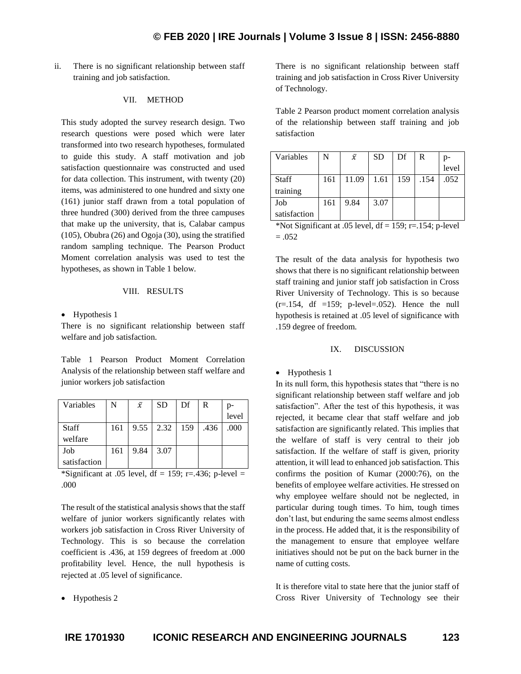ii. There is no significant relationship between staff training and job satisfaction.

#### VII. METHOD

This study adopted the survey research design. Two research questions were posed which were later transformed into two research hypotheses, formulated to guide this study. A staff motivation and job satisfaction questionnaire was constructed and used for data collection. This instrument, with twenty (20) items, was administered to one hundred and sixty one (161) junior staff drawn from a total population of three hundred (300) derived from the three campuses that make up the university, that is, Calabar campus (105), Obubra (26) and Ogoja (30), using the stratified random sampling technique. The Pearson Product Moment correlation analysis was used to test the hypotheses, as shown in Table 1 below.

# VIII. RESULTS

• Hypothesis 1

There is no significant relationship between staff welfare and job satisfaction.

Table 1 Pearson Product Moment Correlation Analysis of the relationship between staff welfare and junior workers job satisfaction

| Variables    | N   | $\bar{x}$ | <b>SD</b> | Df  | R    | p-    |
|--------------|-----|-----------|-----------|-----|------|-------|
|              |     |           |           |     |      | level |
| <b>Staff</b> | 161 | 9.55      | 2.32      | 159 | .436 | .000  |
| welfare      |     |           |           |     |      |       |
| Job          | 161 | 9.84      | 3.07      |     |      |       |
| satisfaction |     |           |           |     |      |       |

\*Significant at .05 level, df = 159; r=.436; p-level = .000

The result of the statistical analysis shows that the staff welfare of junior workers significantly relates with workers job satisfaction in Cross River University of Technology. This is so because the correlation coefficient is .436, at 159 degrees of freedom at .000 profitability level. Hence, the null hypothesis is rejected at .05 level of significance.

• Hypothesis 2

There is no significant relationship between staff training and job satisfaction in Cross River University of Technology.

Table 2 Pearson product moment correlation analysis of the relationship between staff training and job satisfaction

| Variables    | N   | $\bar{x}$ | <b>SD</b> | Df  | R    | p-    |
|--------------|-----|-----------|-----------|-----|------|-------|
|              |     |           |           |     |      | level |
| <b>Staff</b> | 161 | 11.09     | 1.61      | 159 | .154 | .052  |
| training     |     |           |           |     |      |       |
| Job          | 161 | 9.84      | 3.07      |     |      |       |
| satisfaction |     |           |           |     |      |       |

\*Not Significant at .05 level, df = 159; r=.154; p-level  $= 052$ 

The result of the data analysis for hypothesis two shows that there is no significant relationship between staff training and junior staff job satisfaction in Cross River University of Technology. This is so because  $(r=.154, df =159; p-level=.052)$ . Hence the null hypothesis is retained at .05 level of significance with .159 degree of freedom.

#### IX. DISCUSSION

#### • Hypothesis 1

In its null form, this hypothesis states that "there is no significant relationship between staff welfare and job satisfaction". After the test of this hypothesis, it was rejected, it became clear that staff welfare and job satisfaction are significantly related. This implies that the welfare of staff is very central to their job satisfaction. If the welfare of staff is given, priority attention, it will lead to enhanced job satisfaction. This confirms the position of Kumar (2000:76), on the benefits of employee welfare activities. He stressed on why employee welfare should not be neglected, in particular during tough times. To him, tough times don't last, but enduring the same seems almost endless in the process. He added that, it is the responsibility of the management to ensure that employee welfare initiatives should not be put on the back burner in the name of cutting costs.

It is therefore vital to state here that the junior staff of Cross River University of Technology see their